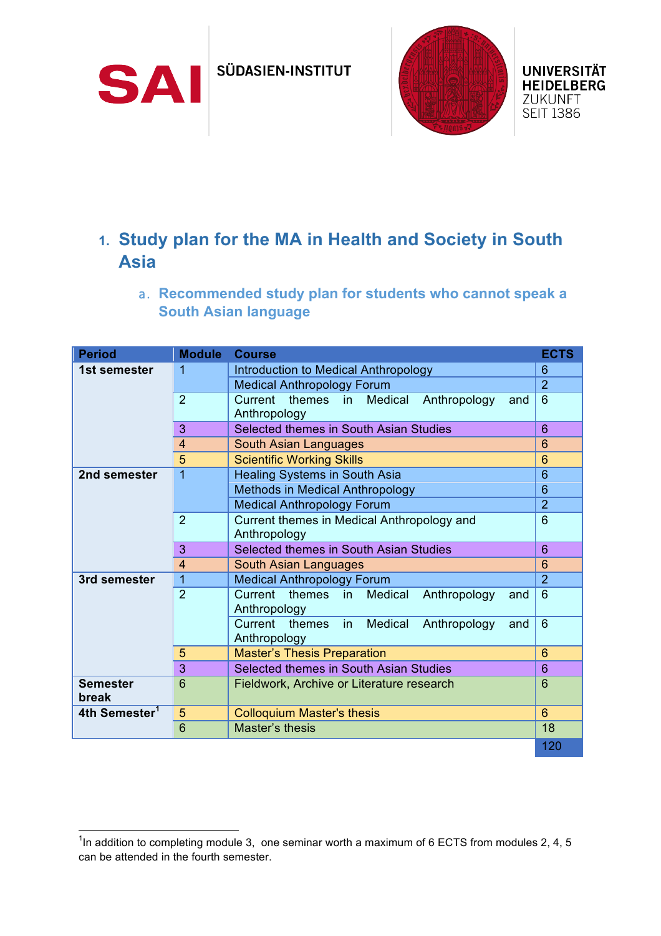SÜDASIEN-INSTITUT

SAI



## **1. Study plan for the MA in Health and Society in South Asia**

a. **Recommended study plan for students who cannot speak a South Asian language**

| <b>Period</b>             | <b>Module</b>  | <b>Course</b>                                                              | <b>ECTS</b>    |
|---------------------------|----------------|----------------------------------------------------------------------------|----------------|
| 1st semester              | 1              | Introduction to Medical Anthropology                                       | 6              |
|                           |                | <b>Medical Anthropology Forum</b>                                          | $\overline{2}$ |
|                           | $\overline{2}$ | themes<br>Current<br>Medical<br>Anthropology<br>$\mathsf{in}$<br>and       | 6              |
|                           |                | Anthropology                                                               |                |
|                           | 3              | Selected themes in South Asian Studies                                     | $6\phantom{1}$ |
|                           | 4              | South Asian Languages                                                      | 6              |
|                           | 5              | <b>Scientific Working Skills</b>                                           | 6              |
| 2nd semester              | 1              | <b>Healing Systems in South Asia</b>                                       | 6              |
|                           |                | Methods in Medical Anthropology                                            | 6              |
|                           |                | <b>Medical Anthropology Forum</b>                                          | $\overline{2}$ |
|                           | $\overline{2}$ | Current themes in Medical Anthropology and                                 | $6\phantom{1}$ |
|                           |                | Anthropology                                                               |                |
|                           | 3              | Selected themes in South Asian Studies                                     | $6\phantom{1}$ |
|                           | 4              | <b>South Asian Languages</b>                                               | 6              |
| 3rd semester              | 1              | <b>Medical Anthropology Forum</b>                                          | $\overline{2}$ |
|                           | $\overline{2}$ | themes in<br>Current<br>Medical<br>Anthropology<br>and<br>Anthropology     | 6              |
|                           |                | Current<br>Medical<br>Anthropology<br>themes<br>in.<br>and<br>Anthropology | $6\phantom{1}$ |
|                           | 5              | <b>Master's Thesis Preparation</b>                                         | $6\phantom{1}$ |
|                           | 3              | Selected themes in South Asian Studies                                     | $6\phantom{1}$ |
| <b>Semester</b><br>break  | 6              | Fieldwork, Archive or Literature research                                  | 6              |
| 4th Semester <sup>1</sup> | 5              | <b>Colloquium Master's thesis</b>                                          | 6              |
|                           | 6              | Master's thesis                                                            | 18             |
|                           |                |                                                                            | 120            |

The addition to completing module 3, one seminar worth a maximum of 6 ECTS from modules 2, 4, 5 can be attended in the fourth semester.